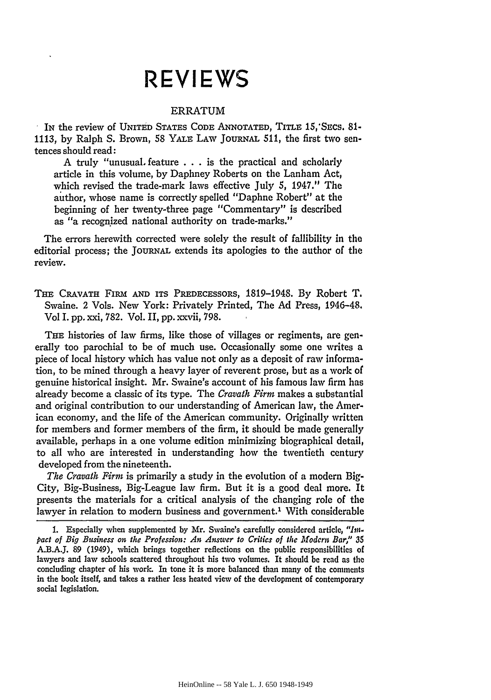## **REVIEWS**

## ERRATUM

IN the review of UNITED STATES CODE ANNOTATED, TITLE 15,'SEcs. 81-  $\epsilon$ 1113, by Ralph S. Brown, **58** YALE LAW JoURNAL 511, the first two sentences should read:

A truly "unusual feature  $\dots$  is the practical and scholarly article in this volume, by Daphney Roberts on the Lanham Act, which revised the trade-mark laws effective July 5, 1947." The author, whose name is correctly spelled "Daphne Robert" at the beginning of her twenty-three page "Commentary" is described as "a recognized national authority on trade-marks."

The errors herewith corrected were solely the result of fallibility in the editorial process; the JouRNAL extends its apologies to the author of the review.

THE CRAVATH FIRM AND ITS PREDECESSORS, 1819-1948. By Robert T. Swaine. 2 Vols. New York: Privately Printed, The Ad Press, 1946-48. Vol I. pp. xxi, 782. Vol. II, pp. xxvii, 798.

THE histories of law firms, like those of villages or regiments, are generally too parochial to be of much use. Occasionally some one writes a piece of local history which has value not only as a deposit of raw information, to be mined through a heavy layer of reverent prose, but as a work of genuine historical insight. Mr. Swaine's account of his famous law firm has already become a classic of its type. The *Cravath Firm* makes a substantial and original contribution to our understanding of American law, the American economy, and the life of the American community. Originally written for members and former members of the firm, it should be made generally available, perhaps in a one volume edition minimizing biographical detail, to all who are interested in understanding how the twentieth century developed from the nineteenth.

*The Cravath Firm* is primarily a study in the evolution of a modern Big-City, Big-Business, Big-League law firm. But it is a good deal more. It presents the materials for a critical analysis of the changing role of the lawyer in relation to modern business and government.<sup>1</sup> With considerable

<sup>1.</sup> Especially when supplemented by Mr. Swaine's carefully considered article, *"tin. pact of Big Business on the Profession: An Answer to Critics of the Modcrn Bar,"* **35** A.B.AJ. 89 (1949), which brings together reflections on the public responsibilities of lawyers and law schools scattered throughout his two volumes. It should be read as the concluding chapter of his work. In tone it is more balanced than many of the comments in the book itself, and takes a rather less heated view of the development of contemporary social legislation.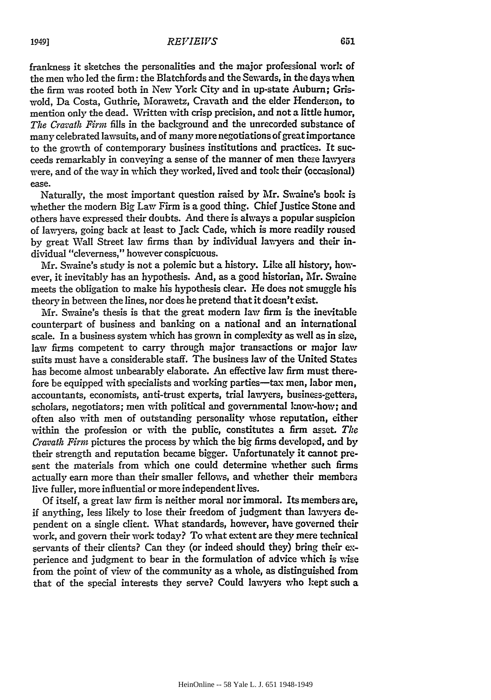frankness it sketches the personalities and the major professional work of the men who led the firm: the Blatchfords and the Sewards, in the days when the firm was rooted both in New York City and in up-state Auburn; Griswold, Da Costa, Guthrie, Morawetz, Cravath and the elder Henderson, to mention only the dead. Written with crisp precision, and not a little humor, *The Cravath Firm* fills in the background and the unrecorded substance of many celebrated lawsuits, and of many more negotiations of great importance to the growth of contemporary business institutions and practices. It succeeds remarkably in conveying a sense of the manner of men theze lawyers were, and of the way in which they worked, lived and took their (occasional) ease.

Naturally, the most important question raised by Mr. Swaine's book is whether the modem Big Law Firm is a good thing. Chief Justice Stone and others have expressed their doubts. And there is always a popular suspicion of lawyers, going back at least to Jack Cade, which is more readily roused by great Wall Street law firms than by individual lawyers and their individual "cleverness," however conspicuous.

Mr. Swaine's study is not a polemic but a history. Like all history, however, it inevitably has an hypothesis. And, as a good historian, Mr. Swaine meets the obligation to make his hypothesis clear. He does not smuggle his theory in between the lines, nor does he pretend that it doesn't exist.

Mr. Swaine's thesis is that the great modern law firm is the inevitable counterpart of business and banking on a national and an international scale. In a business system which has grown in complexity as well as in size, law firms competent to carry through major transactions or major law suits must have a considerable staff. The business law of the United States has become almost unbearably elaborate. An effective law firm must therefore be equipped with specialists and working parties-tax men, labor men, accountants, economists, anti-trust experts, trial lawyers, business-getters, scholars, negotiators; men with political and governmental know-how; and often also with men of outstanding personality whose reputation, either within the profession or with the public, constitutes a firm asset. *The Cravath Firm* pictures the process by which the big firms developed, and by their strength and reputation became bigger. Unfortunately it cannot present the materials from which one could determine whether such firms actually earn more than their smaller fellows, and whether their members live fuller, more influential or more independent lives.

Of itself, a great law firm is neither moral nor immoral. Its members are, if anything, less likely to lose their freedom of judgment than lawyers dependent on a single client. What standards, however, have governed their work, and govern their work today? To what extent are they mere technical servants of their clients? Can they (or indeed should they) bring their experience and judgment to bear in the formulation of advice which is wise from the point of view of the community as a whole, as distinguished from that of the special interests they serve? Could lawyers who kept such a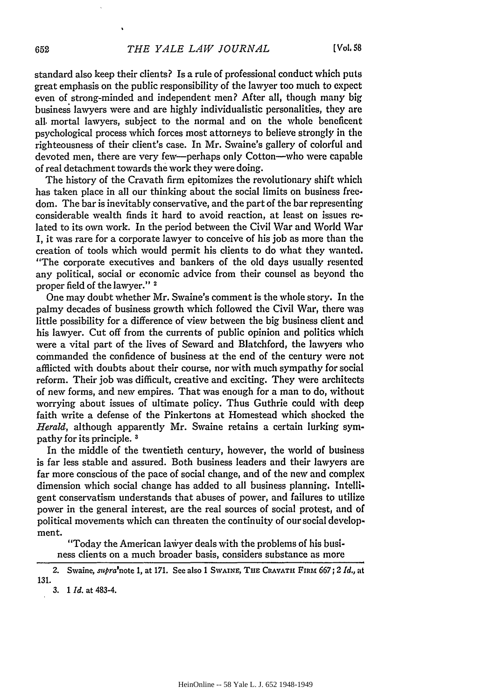standard also keep their clients? Is a rule of professional conduct which puts great emphasis on the public responsibility of the lawyer too much to expect even of strong-minded and independent men? After all, though many big business lawyers were and are highly individualistic personalities, they are all, mortal lawyers, subject to the normal and on the whole beneficent psychological process which forces most attorneys to believe strongly in the righteousness of their client's case. In Mr. Swaine's gallery of colorful and devoted men, there are very few-perhaps only Cotton-who were capable of real detachment towards the work they were doing.

The history of the Cravath firm epitomizes the revolutionary shift which has taken place in all our thinking about the social limits on business freedom. The bar is inevitably conservative, and the part of the bar representing considerable wealth finds it hard to avoid reaction, at least on issues related to its own work. In the period between the Civil War and World War I, it was rare for a corporate lawyer to conceive of his job as more than the creation of tools which would permit his clients to do what they wanted. "The corporate executives and bankers of the old days usually resented any political, social or economic advice from their counsel as beyond the proper field of the lawyer." 2

One may doubt whether Mr. Swaine's comment is the whole story. In the palmy decades of business growth which followed the Civil War, there was little possibility for a difference of view between the big business client and his lawyer. Cut off from the currents of public opinion and politics which were a vital part of the lives of Seward and Blatchford, the lawyers who commanded the confidence of business at the end of the century were not afflicted with doubts about their course, nor with much sympathy for social reform. Their job was difficult, creative and exciting. They were architects of new forms, and new empires. That was enough for a man to do, without worrying about issues of ultimate policy. Thus Guthrie could with deep faith write a defense of the Pinkertons at Homestead which shocked the *Herald,* although apparently Mr. Swaine retains a certain lurking sympathy for its principle. **3**

In the middle of the twentieth century, however, the world of business is far less stable and assured. Both business leaders and their lawyers are far more conscious of the pace of social change, and of the new and complex dimension which social change has added to all business planning. Intelligent conservatism understands that abuses of power, and failures to utilize power in the general interest, are the real sources of social protest, and of political movements which can threaten the continuity of our social development.

"Today the American laiyer deals with the problems of his business clients on a much broader basis, considers substance as more

<sup>2.</sup> Swaine, *supra'note* 1, at **171.** See also 1 **SWAINE, TnE CRAVATH FIRM** *667; 2 Id.,* at 131.

*<sup>3. 1</sup> Id.* at 483-4.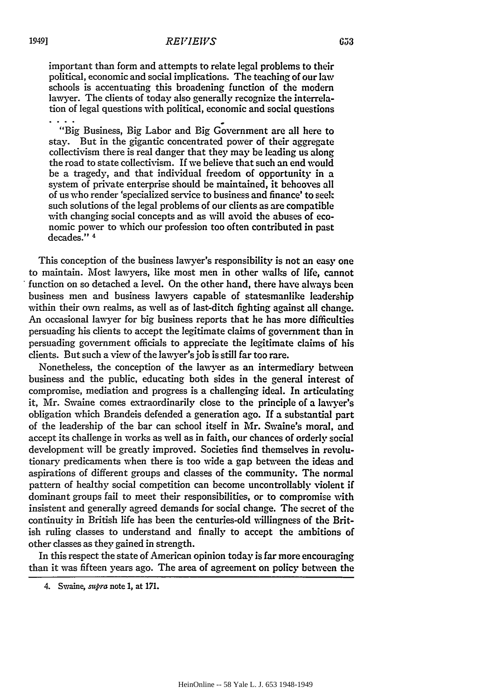important than form and attempts to relate legal problems to their political, economic and social implications. The teaching of our law schools is accentuating this broadening function of the modern lawyer. The clients of today also generally recognize the interrelation of legal questions with political, economic and social questions

"Big Business, Big Labor and Big Government are all here to stay. But in the gigantic concentrated power of their aggregate collectivism there is real danger that they may be leading us along the road to state collectivism. If we believe that such an end would be a tragedy, and that individual freedom of opportunity in a system of private enterprise should be maintained, it behooves all of us who render 'specialized service to business and finance' to seek such solutions of the legal problems of our clients as are compatible with changing social concepts and as will avoid the abuses of economic power to which our profession too often contributed in past decades." 4

This conception of the business lawyer's responsibility is not an easy one to maintain. Most lawyers, like most men in other walks of life, cannot function on so detached a level. On the other hand, there have always been business men and business lawyers capable of statesmanlike leadership within their own realms, as well as of last-ditch fighting against all change. An occasional lawyer for big business reports that he has more difficulties persuading his clients to accept the legitimate claims of government than in persuading government officials to appreciate the legitimate claims of his clients. But such a view of the lawyer's **job** is still far too rare.

Nonetheless, the conception of the lawyver as an intermediary betveen business and the public, educating both sides in the general interest of compromise, mediation and progress is a challenging ideal. In articulating it, Mr. Swaine comes extraordinarily close to the principle of a lawyer's obligation which Brandeis defended a generation ago. If a substantial part of the leadership of the bar can school itself in Mr. Swaine's moral, and accept its challenge in works as well as in faith, our chances of orderly social development will be greatly improved. Societies find themselves in revolutionary predicaments when there is too wide a gap between the ideas and aspirations of different groups and classes of the community. The normal pattern of healthy social competition can become uncontrollably violent if dominant groups fail to meet their responsibilities, or to compromise with insistent and generally agreed demands for social change. The secret of the continuity in British life has been the centuries-old willingness of the British ruling classes to understand and finally to accept the ambitions of other classes as they gained in strength.

In this respect the state of American opinion today is far more encouraging than it was fifteen years ago. The area of agreement on policy betveen the

<sup>4.</sup> Swaine, *supra* note **1,** at **171.**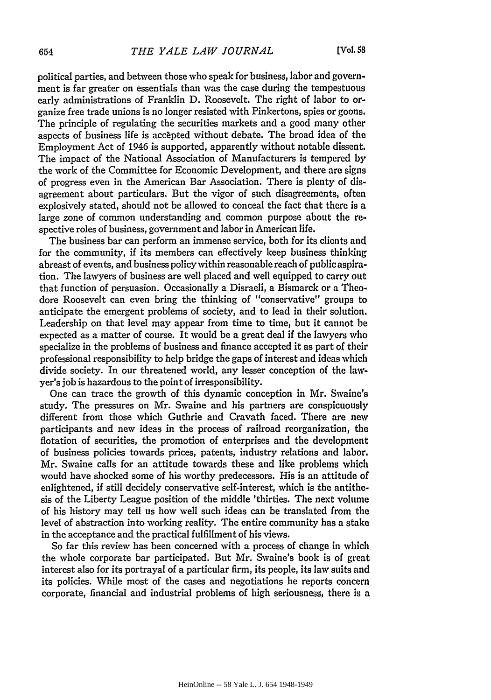political parties, and between those who speak for business, labor and government is far greater on essentials than was the case during the tempestuous early administrations of Franklin D. Roosevelt. The right of labor to organize free trade unions is no longer resisted with Pinkertons, spies or goons. The principle of regulating the securities markets and a good many other aspects of business life is accepted without debate. The broad idea of the Employment Act of 1946 is supported, apparently without notable dissent. The impact of the National Association of Manufacturers is tempered by the work of the Committee for Economic Development, and there are signs of progress even in the American Bar Association. There is plenty of disagreement about particulars. But the vigor of such disagreements, often explosively stated, should not be allowed to conceal the fact that there is a large zone of common understanding and common purpose about the respective roles of business, government and labor in American life.

The business bar can perform an immense service, both for its clients and for the community, if its members can effectively keep business thinking abreast of events, and business policy within reasonable reach of public aspiration. The lawyers of business are well placed and well equipped to carry out that function of persuasion. Occasionally a Disraeli, a Bismarck or a Theodore Roosevelt can even bring the thinking of "conservative" groups to anticipate the emergent problems of society, and to lead in their solution. Leadership on that level may appear from time to time, but it cannot be expected as a matter of course. It would be a great deal if the lawyers who specialize in the problems of business and finance accepted it as part of their professional responsibility to help bridge the gaps of interest and ideas which divide society. In our threatened world, any lesser conception of the lawyer's job is hazardous to the point of irresponsibility.

One can trace the growth of this dynamic conception in Mr. Swaine's study. The pressures on Mr. Swaine and his partners are conspicuously different from those which Guthrie and Cravath faced. There are new participants and new ideas in the process of railroad reorganization, the flotation of securities, the promotion of enterprises and the development of business policies towards prices, patents, industry relations and labor. Mr. Swaine calls for an attitude towards these and like problems which would have shocked some of his worthy predecessors. His is an attitude of enlightened, if still decidely conservative self-interest, which is the antithesis of the Liberty League position of the middle 'thirties. The next volume of his history may tell us how well such ideas can be translated from the level of abstraction into working reality. The entire community has a stake in the acceptance and the practical fulfillment of his views.

So far this review has been concerned with a process of change in which the whole corporate bar participated. But Mr. Swaine's book is of great interest also for its portrayal of a particular firm, its people, its law suits and its policies. While most of the cases and negotiations he reports concern corporate, financial and industrial problems of high seriousness, there is a